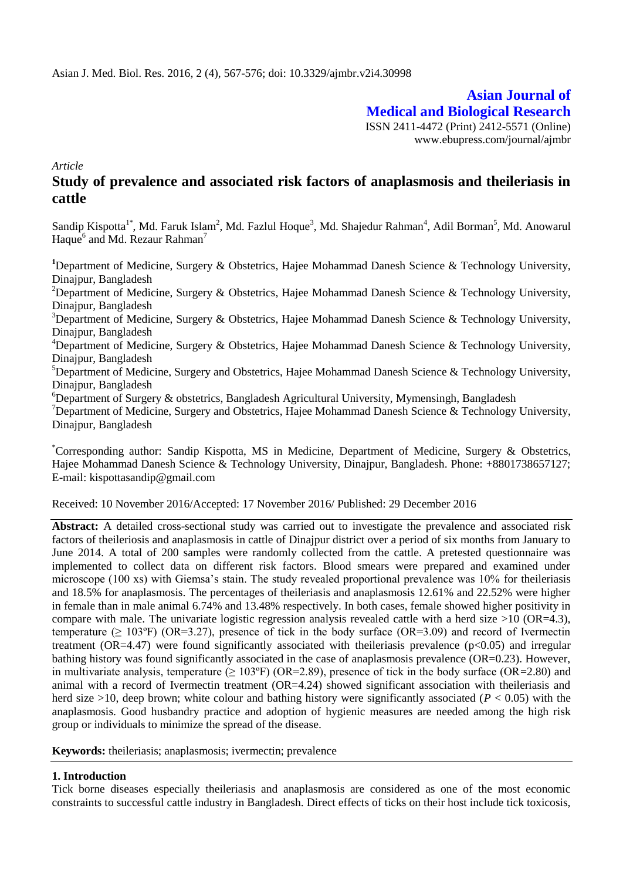# **Asian Journal of Medical and Biological Research** ISSN 2411-4472 (Print) 2412-5571 (Online) www.ebupress.com/journal/ajmbr

*Article*

# **Study of prevalence and associated risk factors of anaplasmosis and theileriasis in cattle**

Sandip Kispotta<sup>1\*</sup>, Md. Faruk Islam<sup>2</sup>, Md. Fazlul Hoque<sup>3</sup>, Md. Shajedur Rahman<sup>4</sup>, Adil Borman<sup>5</sup>, Md. Anowarul Haque<sup>6</sup> and Md. Rezaur Rahman<sup>7</sup>

<sup>1</sup>Department of Medicine, Surgery & Obstetrics, Hajee Mohammad Danesh Science & Technology University, Dinajpur, Bangladesh

<sup>2</sup>Department of Medicine, Surgery & Obstetrics, Hajee Mohammad Danesh Science & Technology University, Dinajpur, Bangladesh

<sup>3</sup>Department of Medicine, Surgery & Obstetrics, Hajee Mohammad Danesh Science & Technology University, Dinajpur, Bangladesh

<sup>4</sup>Department of Medicine, Surgery & Obstetrics, Hajee Mohammad Danesh Science & Technology University, Dinajpur, Bangladesh

 ${}^{5}$ Department of Medicine, Surgery and Obstetrics, Hajee Mohammad Danesh Science & Technology University, Dinajpur, Bangladesh

<sup>6</sup>Department of Surgery & obstetrics, Bangladesh Agricultural University, Mymensingh, Bangladesh

<sup>7</sup>Department of Medicine, Surgery and Obstetrics, Hajee Mohammad Danesh Science & Technology University, Dinajpur, Bangladesh

\*Corresponding author: Sandip Kispotta, MS in Medicine, Department of Medicine, Surgery & Obstetrics, Hajee Mohammad Danesh Science & Technology University, Dinajpur, Bangladesh. Phone: +8801738657127; E-mail: [kispottasandip@gmail.com](mailto:kispottasandip@gmail.com)

### Received: 10 November 2016/Accepted: 17 November 2016/ Published: 29 December 2016

**Abstract:** A detailed cross-sectional study was carried out to investigate the prevalence and associated risk factors of theileriosis and anaplasmosis in cattle of Dinajpur district over a period of six months from January to June 2014. A total of 200 samples were randomly collected from the cattle. A pretested questionnaire was implemented to collect data on different risk factors. Blood smears were prepared and examined under microscope (100 xs) with Giemsa's stain. The study revealed proportional prevalence was 10% for theileriasis and 18.5% for anaplasmosis. The percentages of theileriasis and anaplasmosis 12.61% and 22.52% were higher in female than in male animal 6.74% and 13.48% respectively. In both cases, female showed higher positivity in compare with male. The univariate logistic regression analysis revealed cattle with a herd size  $>10$  (OR=4.3), temperature ( $\geq 103^{\circ}$ F) (OR=3.27), presence of tick in the body surface (OR=3.09) and record of Ivermectin treatment (OR=4.47) were found significantly associated with the ileriasis prevalence ( $p<0.05$ ) and irregular bathing history was found significantly associated in the case of anaplasmosis prevalence (OR=0.23). However, in multivariate analysis, temperature  $(> 103^{\circ}F)$  (OR=2.89), presence of tick in the body surface (OR=2.80) and animal with a record of Ivermectin treatment (OR=4.24) showed significant association with theileriasis and herd size  $>10$ , deep brown; white colour and bathing history were significantly associated ( $P < 0.05$ ) with the anaplasmosis. Good husbandry practice and adoption of hygienic measures are needed among the high risk group or individuals to minimize the spread of the disease.

**Keywords:** theileriasis; anaplasmosis; ivermectin; prevalence

### **1. Introduction**

Tick borne diseases especially theileriasis and anaplasmosis are considered as one of the most economic constraints to successful cattle industry in Bangladesh. Direct effects of ticks on their host include tick toxicosis,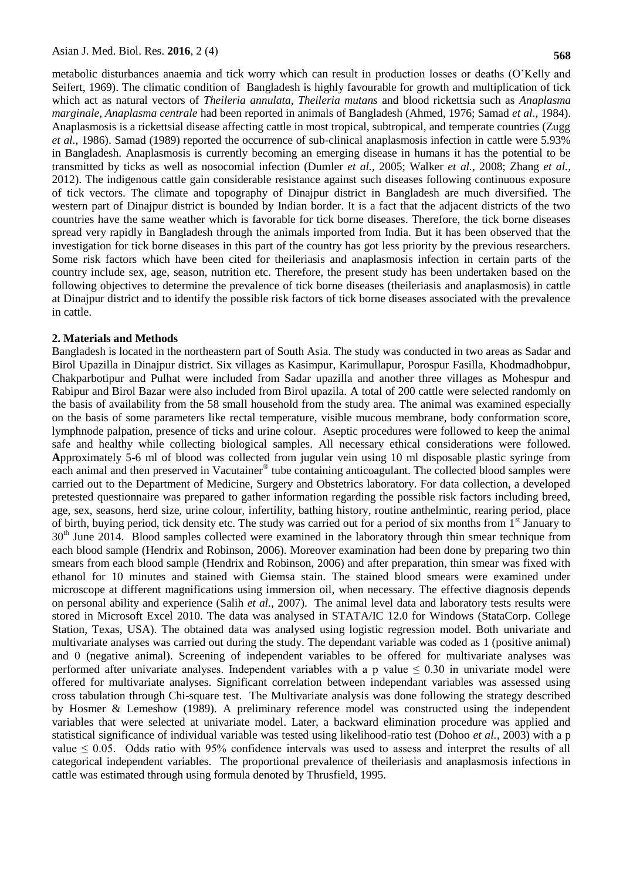metabolic disturbances anaemia and tick worry which can result in production losses or deaths (O'Kelly and Seifert, 1969). The climatic condition of Bangladesh is highly favourable for growth and multiplication of tick which act as natural vectors of *Theileria annulata, Theileria mutans* and blood rickettsia such as *Anaplasma marginale, Anaplasma centrale* had been reported in animals of Bangladesh (Ahmed, 1976; Samad *et al.,* 1984). Anaplasmosis is a rickettsial disease affecting cattle in most tropical, subtropical, and temperate countries (Zugg *et al.,* 1986). Samad (1989) reported the occurrence of sub-clinical anaplasmosis infection in cattle were 5.93% in Bangladesh. Anaplasmosis is currently becoming an emerging disease in humans it has the potential to be transmitted by ticks as well as nosocomial infection (Dumler *et al.,* 2005; Walker *et al.,* 2008; Zhang *et al.,* 2012). The indigenous cattle gain considerable resistance against such diseases following continuous exposure of tick vectors. The climate and topography of Dinajpur district in Bangladesh are much diversified. The western part of Dinajpur district is bounded by Indian border. It is a fact that the adjacent districts of the two countries have the same weather which is favorable for tick borne diseases. Therefore, the tick borne diseases spread very rapidly in Bangladesh through the animals imported from India. But it has been observed that the investigation for tick borne diseases in this part of the country has got less priority by the previous researchers. Some risk factors which have been cited for theileriasis and anaplasmosis infection in certain parts of the country include sex, age, season, nutrition etc. Therefore, the present study has been undertaken based on the following objectives to determine the prevalence of tick borne diseases (theileriasis and anaplasmosis) in cattle at Dinajpur district and to identify the possible risk factors of tick borne diseases associated with the prevalence in cattle.

#### **2. Materials and Methods**

Bangladesh is located in the northeastern part of South Asia. The study was conducted in two areas as Sadar and Birol Upazilla in Dinajpur district. Six villages as Kasimpur, Karimullapur, Porospur Fasilla, Khodmadhobpur, Chakparbotipur and Pulhat were included from Sadar upazilla and another three villages as Mohespur and Rabipur and Birol Bazar were also included from Birol upazila. A total of 200 cattle were selected randomly on the basis of availability from the 58 small household from the study area. The animal was examined especially on the basis of some parameters like rectal temperature, visible mucous membrane, body conformation score, lymphnode palpation, presence of ticks and urine colour. Aseptic procedures were followed to keep the animal safe and healthy while collecting biological samples. All necessary ethical considerations were followed. **A**pproximately 5-6 ml of blood was collected from jugular vein using 10 ml disposable plastic syringe from each animal and then preserved in Vacutainer® tube containing anticoagulant. The collected blood samples were carried out to the Department of Medicine, Surgery and Obstetrics laboratory. For data collection, a developed pretested questionnaire was prepared to gather information regarding the possible risk factors including breed, age, sex, seasons, herd size, urine colour, infertility, bathing history, routine anthelmintic, rearing period, place of birth, buying period, tick density etc. The study was carried out for a period of six months from 1<sup>st</sup> January to  $30<sup>th</sup>$  June 2014. Blood samples collected were examined in the laboratory through thin smear technique from each blood sample (Hendrix and Robinson, 2006). Moreover examination had been done by preparing two thin smears from each blood sample (Hendrix and Robinson, 2006) and after preparation, thin smear was fixed with ethanol for 10 minutes and stained with Giemsa stain. The stained blood smears were examined under microscope at different magnifications using immersion oil, when necessary. The effective diagnosis depends on personal ability and experience (Salih *et al.*, 2007). The animal level data and laboratory tests results were stored in Microsoft Excel 2010. The data was analysed in STATA/IC 12.0 for Windows (StataCorp. College Station, Texas, USA). The obtained data was analysed using logistic regression model. Both univariate and multivariate analyses was carried out during the study. The dependant variable was coded as 1 (positive animal) and 0 (negative animal). Screening of independent variables to be offered for multivariate analyses was performed after univariate analyses. Independent variables with a p value  $\leq 0.30$  in univariate model were offered for multivariate analyses. Significant correlation between independant variables was assessed using cross tabulation through Chi-square test. The Multivariate analysis was done following the strategy described by Hosmer & Lemeshow (1989). A preliminary reference model was constructed using the independent variables that were selected at univariate model. Later, a backward elimination procedure was applied and statistical significance of individual variable was tested using likelihood-ratio test (Dohoo *et al.,* 2003) with a p value  $\leq 0.05$ . Odds ratio with 95% confidence intervals was used to assess and interpret the results of all categorical independent variables. The proportional prevalence of theileriasis and anaplasmosis infections in cattle was estimated through using formula denoted by Thrusfield, 1995.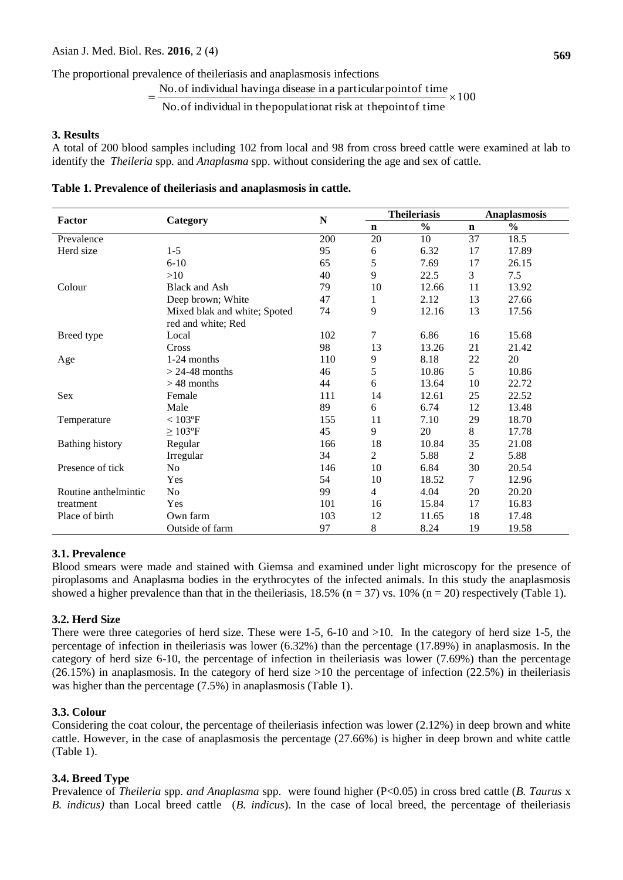The proportional prevalence of theileriasis and anaplasmosis infections

These, 2010, 2 (4)

\nevaluate of theileriasis and anaplasmosis infections

\n
$$
= \frac{\text{No. of individual having a disease in a particular point of time}}{\text{No. of individual in the population at risk at the point of time}} \times 100
$$

#### **3. Results**

A total of 200 blood samples including 102 from local and 98 from cross breed cattle were examined at lab to identify the *Theileria* spp*.* and *Anaplasma* spp. without considering the age and sex of cattle.

#### **Table 1. Prevalence of theileriasis and anaplasmosis in cattle.**

|                        |                              |             |                | <b>Theileriasis</b> |                | <b>Anaplasmosis</b> |  |  |
|------------------------|------------------------------|-------------|----------------|---------------------|----------------|---------------------|--|--|
| Factor                 | Category                     | $\mathbf N$ | n              | $\frac{0}{0}$       | $\mathbf n$    | $\frac{0}{0}$       |  |  |
| Prevalence             |                              | 200         | 20             | 10                  | 37             | 18.5                |  |  |
| Herd size              | $1 - 5$                      | 95          | 6              | 6.32                | 17             | 17.89               |  |  |
|                        | $6 - 10$                     | 65          | 5              | 7.69                | 17             | 26.15               |  |  |
|                        | >10                          | 40          | 9              | 22.5                | 3              | 7.5                 |  |  |
| Colour                 | <b>Black and Ash</b>         | 79          | 10             | 12.66               | 11             | 13.92               |  |  |
|                        | Deep brown; White            | 47          | $\mathbf{1}$   | 2.12                | 13             | 27.66               |  |  |
|                        | Mixed blak and white; Spoted | 74          | 9              | 12.16               | 13             | 17.56               |  |  |
|                        | red and white; Red           |             |                |                     |                |                     |  |  |
| Breed type             | Local                        | 102         | 7              | 6.86                | 16             | 15.68               |  |  |
|                        | Cross                        | 98          | 13             | 13.26               | 21             | 21.42               |  |  |
| Age                    | 1-24 months                  | 110         | 9              | 8.18                | 22             | 20                  |  |  |
|                        | $> 24-48$ months             | 46          | 5              | 10.86               | 5              | 10.86               |  |  |
|                        | $>48$ months                 | 44          | 6              | 13.64               | 10             | 22.72               |  |  |
| Sex                    | Female                       | 111         | 14             | 12.61               | 25             | 22.52               |  |  |
|                        | Male                         | 89          | 6              | 6.74                | 12             | 13.48               |  |  |
| Temperature            | $< 103$ °F                   | 155         | 11             | 7.10                | 29             | 18.70               |  |  |
|                        | $\geq 103$ °F                | 45          | 9              | 20                  | 8              | 17.78               |  |  |
| <b>Bathing history</b> | Regular                      | 166         | 18             | 10.84               | 35             | 21.08               |  |  |
|                        | Irregular                    | 34          | $\overline{c}$ | 5.88                | $\overline{2}$ | 5.88                |  |  |
| Presence of tick       | N <sub>o</sub>               | 146         | 10             | 6.84                | 30             | 20.54               |  |  |
|                        | Yes                          | 54          | 10             | 18.52               | 7              | 12.96               |  |  |
| Routine anthelmintic   | No                           | 99          | $\overline{4}$ | 4.04                | 20             | 20.20               |  |  |
| treatment              | Yes                          | 101         | 16             | 15.84               | 17             | 16.83               |  |  |
| Place of birth         | Own farm                     | 103         | 12             | 11.65               | 18             | 17.48               |  |  |
|                        | Outside of farm              | 97          | 8              | 8.24                | 19             | 19.58               |  |  |

### **3.1. Prevalence**

Blood smears were made and stained with Giemsa and examined under light microscopy for the presence of piroplasoms and Anaplasma bodies in the erythrocytes of the infected animals. In this study the anaplasmosis showed a higher prevalence than that in the theileriasis,  $18.5\%$  (n = 37) vs.  $10\%$  (n = 20) respectively (Table 1).

### **3.2. Herd Size**

There were three categories of herd size. These were 1-5, 6-10 and >10. In the category of herd size 1-5, the percentage of infection in theileriasis was lower (6.32%) than the percentage (17.89%) in anaplasmosis. In the category of herd size 6-10, the percentage of infection in theileriasis was lower (7.69%) than the percentage (26.15%) in anaplasmosis. In the category of herd size >10 the percentage of infection (22.5%) in theileriasis was higher than the percentage (7.5%) in anaplasmosis (Table 1).

### **3.3. Colour**

Considering the coat colour, the percentage of theileriasis infection was lower (2.12%) in deep brown and white cattle. However, in the case of anaplasmosis the percentage (27.66%) is higher in deep brown and white cattle (Table 1).

### **3.4. Breed Type**

Prevalence of *Theileria* spp. *and Anaplasma* spp.were found higher (P<0.05) in cross bred cattle (*B. Taurus* x *B. indicus)* than Local breed cattle (*B. indicus*). In the case of local breed, the percentage of theileriasis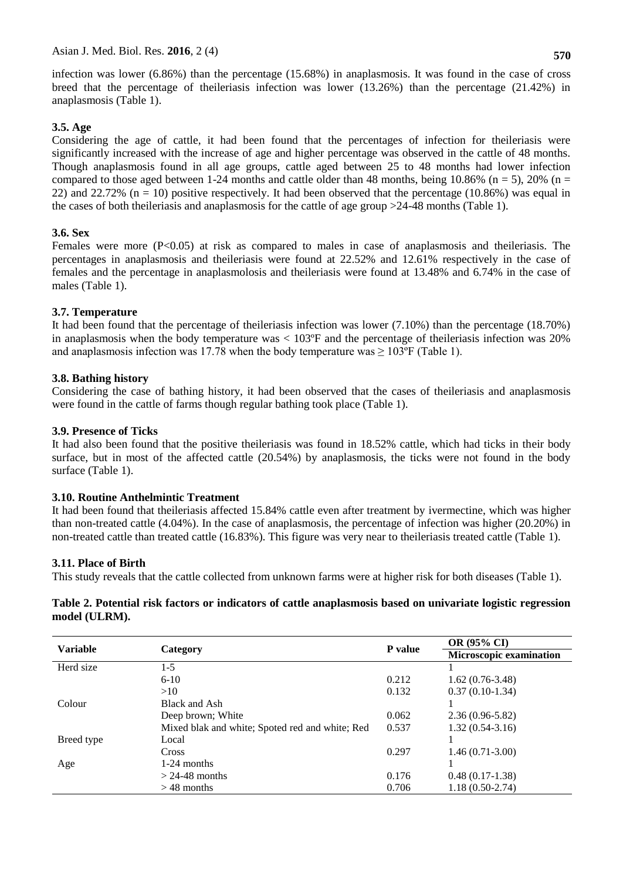infection was lower (6.86%) than the percentage (15.68%) in anaplasmosis. It was found in the case of cross breed that the percentage of theileriasis infection was lower (13.26%) than the percentage (21.42%) in anaplasmosis (Table 1).

# **3.5. Age**

Considering the age of cattle, it had been found that the percentages of infection for theileriasis were significantly increased with the increase of age and higher percentage was observed in the cattle of 48 months. Though anaplasmosis found in all age groups, cattle aged between 25 to 48 months had lower infection compared to those aged between 1-24 months and cattle older than 48 months, being 10.86% ( $n = 5$ ), 20% ( $n =$ 22) and 22.72%  $(n = 10)$  positive respectively. It had been observed that the percentage (10.86%) was equal in the cases of both theileriasis and anaplasmosis for the cattle of age group >24-48 months (Table 1).

# **3.6. Sex**

Females were more (P<0.05) at risk as compared to males in case of anaplasmosis and the ileriasis. The percentages in anaplasmosis and theileriasis were found at 22.52% and 12.61% respectively in the case of females and the percentage in anaplasmolosis and theileriasis were found at 13.48% and 6.74% in the case of males (Table 1).

# **3.7. Temperature**

It had been found that the percentage of theileriasis infection was lower (7.10%) than the percentage (18.70%) in anaplasmosis when the body temperature was  $< 103^{\circ}$ F and the percentage of theileriasis infection was 20% and anaplasmosis infection was 17.78 when the body temperature was  $\geq 103^{\circ}$ F (Table 1).

# **3.8. Bathing history**

Considering the case of bathing history, it had been observed that the cases of theileriasis and anaplasmosis were found in the cattle of farms though regular bathing took place (Table 1).

# **3.9. Presence of Ticks**

It had also been found that the positive theileriasis was found in 18.52% cattle, which had ticks in their body surface, but in most of the affected cattle (20.54%) by anaplasmosis, the ticks were not found in the body surface (Table 1).

### **3.10. Routine Anthelmintic Treatment**

It had been found that theileriasis affected 15.84% cattle even after treatment by ivermectine, which was higher than non-treated cattle (4.04%). In the case of anaplasmosis, the percentage of infection was higher (20.20%) in non-treated cattle than treated cattle (16.83%). This figure was very near to theileriasis treated cattle (Table 1).

# **3.11. Place of Birth**

This study reveals that the cattle collected from unknown farms were at higher risk for both diseases (Table 1).

### **Table 2. Potential risk factors or indicators of cattle anaplasmosis based on univariate logistic regression model (ULRM).**

| <b>Variable</b> |                                                 | P value | <b>OR (95% CI)</b>      |  |  |
|-----------------|-------------------------------------------------|---------|-------------------------|--|--|
|                 | Category                                        |         | Microscopic examination |  |  |
| Herd size       | $1-5$                                           |         |                         |  |  |
|                 | $6 - 10$                                        | 0.212   | $1.62(0.76-3.48)$       |  |  |
|                 | >10                                             | 0.132   | $0.37(0.10-1.34)$       |  |  |
| Colour          | Black and Ash                                   |         |                         |  |  |
|                 | Deep brown; White                               | 0.062   | $2.36(0.96-5.82)$       |  |  |
|                 | Mixed blak and white; Spoted red and white; Red | 0.537   | $1.32(0.54-3.16)$       |  |  |
| Breed type      | Local                                           |         |                         |  |  |
|                 | Cross                                           | 0.297   | $1.46(0.71-3.00)$       |  |  |
| Age             | 1-24 months                                     |         |                         |  |  |
|                 | $>$ 24-48 months                                | 0.176   | $0.48(0.17-1.38)$       |  |  |
|                 | $>$ 48 months                                   | 0.706   | $1.18(0.50-2.74)$       |  |  |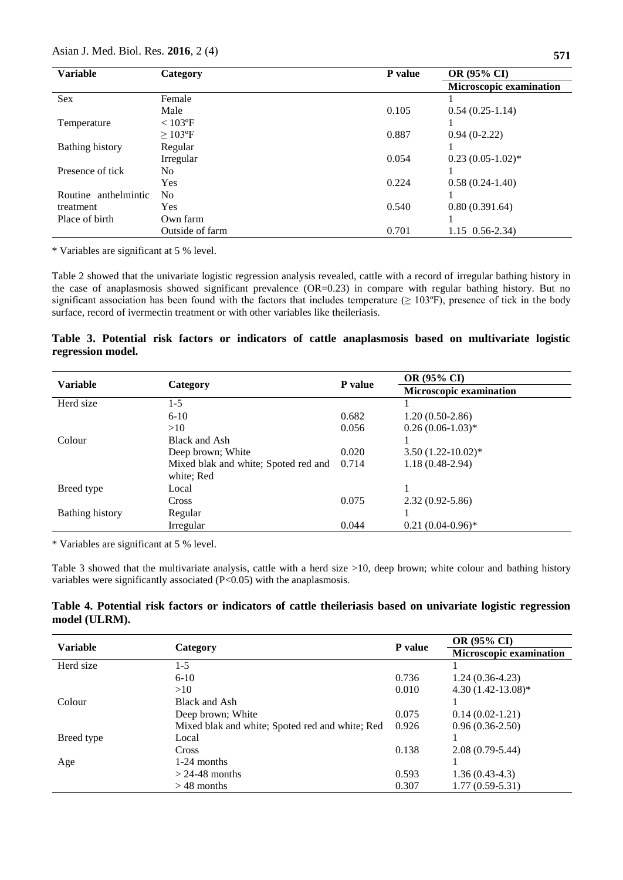| <b>Variable</b>      | Category        | P value | OR (95% CI)                    |  |  |
|----------------------|-----------------|---------|--------------------------------|--|--|
|                      |                 |         | <b>Microscopic examination</b> |  |  |
| <b>Sex</b>           | Female          |         |                                |  |  |
|                      | Male            | 0.105   | $0.54(0.25-1.14)$              |  |  |
| Temperature          | $< 103$ °F      |         |                                |  |  |
|                      | $\geq 103$ °F   | 0.887   | $0.94(0-2.22)$                 |  |  |
| Bathing history      | Regular         |         |                                |  |  |
|                      | Irregular       | 0.054   | $0.23(0.05-1.02)$ *            |  |  |
| Presence of tick     | N <sub>0</sub>  |         |                                |  |  |
|                      | Yes             | 0.224   | $0.58(0.24-1.40)$              |  |  |
| Routine anthelmintic | N <sub>0</sub>  |         |                                |  |  |
| treatment            | Yes             | 0.540   | 0.80(0.391.64)                 |  |  |
| Place of birth       | Own farm        |         |                                |  |  |
|                      | Outside of farm | 0.701   | $1.15 \quad 0.56 - 2.34$       |  |  |

\* Variables are significant at 5 % level.

Table 2 showed that the univariate logistic regression analysis revealed, cattle with a record of irregular bathing history in the case of anaplasmosis showed significant prevalence (OR=0.23) in compare with regular bathing history. But no significant association has been found with the factors that includes temperature  $(≥ 103°F)$ , presence of tick in the body surface, record of ivermectin treatment or with other variables like theileriasis.

# **Table 3. Potential risk factors or indicators of cattle anaplasmosis based on multivariate logistic regression model.**

| <b>Variable</b>        |                                      | P value | OR (95% CI)             |
|------------------------|--------------------------------------|---------|-------------------------|
|                        | Category                             |         | Microscopic examination |
| Herd size              | $1-5$                                |         |                         |
|                        | $6 - 10$                             | 0.682   | $1.20(0.50-2.86)$       |
|                        | >10                                  | 0.056   | $0.26(0.06-1.03)*$      |
| Colour                 | Black and Ash                        |         |                         |
|                        | Deep brown; White                    | 0.020   | $3.50(1.22-10.02)$ *    |
|                        | Mixed blak and white; Spoted red and | 0.714   | $1.18(0.48-2.94)$       |
|                        | white; Red                           |         |                         |
| Breed type             | Local                                |         |                         |
|                        | Cross                                | 0.075   | $2.32(0.92 - 5.86)$     |
| <b>Bathing history</b> | Regular                              |         |                         |
|                        | Irregular                            | 0.044   | $0.21(0.04-0.96)$ *     |

\* Variables are significant at 5 % level.

Table 3 showed that the multivariate analysis, cattle with a herd size >10, deep brown; white colour and bathing history variables were significantly associated (P<0.05) with the anaplasmosis.

|               |  |  |  | Table 4. Potential risk factors or indicators of cattle theileriasis based on univariate logistic regression |  |  |  |
|---------------|--|--|--|--------------------------------------------------------------------------------------------------------------|--|--|--|
| model (ULRM). |  |  |  |                                                                                                              |  |  |  |

| <b>Variable</b> |                                                 | P value | <b>OR (95% CI)</b>      |  |  |
|-----------------|-------------------------------------------------|---------|-------------------------|--|--|
|                 | Category                                        |         | Microscopic examination |  |  |
| Herd size       | $1-5$                                           |         |                         |  |  |
|                 | $6 - 10$                                        | 0.736   | $1.24(0.36-4.23)$       |  |  |
|                 | >10                                             | 0.010   | $4.30(1.42-13.08)*$     |  |  |
| Colour          | Black and Ash                                   |         |                         |  |  |
|                 | Deep brown; White                               | 0.075   | $0.14(0.02-1.21)$       |  |  |
|                 | Mixed blak and white; Spoted red and white; Red | 0.926   | $0.96(0.36-2.50)$       |  |  |
| Breed type      | Local                                           |         |                         |  |  |
|                 | <b>Cross</b>                                    | 0.138   | $2.08(0.79-5.44)$       |  |  |
| Age             | $1-24$ months                                   |         |                         |  |  |
|                 | $>$ 24-48 months                                | 0.593   | $1.36(0.43-4.3)$        |  |  |
|                 | $>$ 48 months                                   | 0.307   | $1.77(0.59-5.31)$       |  |  |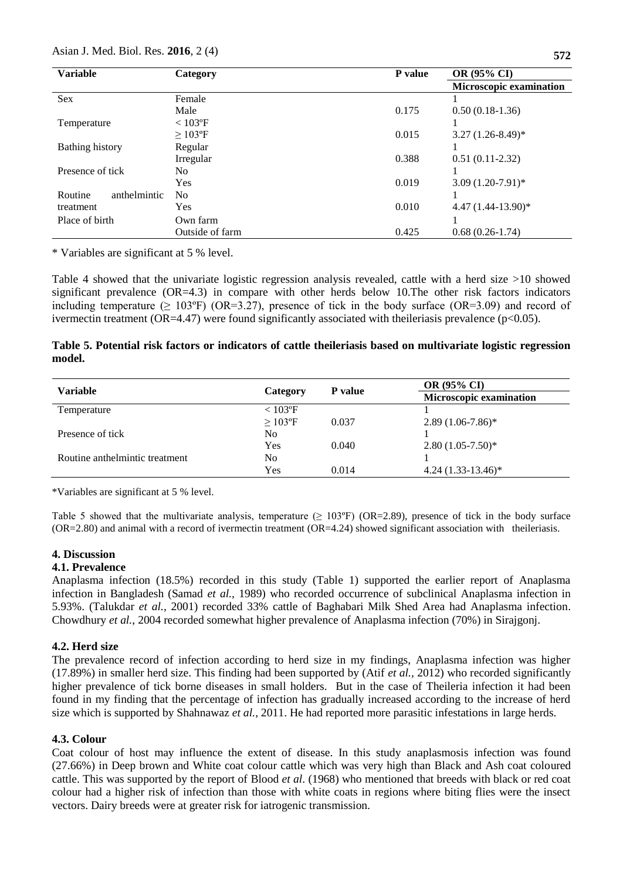| <b>Variable</b>         | P value<br>Category |       | <b>OR (95% CI)</b>             |  |  |
|-------------------------|---------------------|-------|--------------------------------|--|--|
|                         |                     |       | <b>Microscopic examination</b> |  |  |
| <b>Sex</b>              | Female              |       |                                |  |  |
|                         | Male                | 0.175 | $0.50(0.18-1.36)$              |  |  |
| Temperature             | $< 103$ °F          |       |                                |  |  |
|                         | $>103$ °F           | 0.015 | $3.27(1.26-8.49)^*$            |  |  |
| Bathing history         | Regular             |       |                                |  |  |
|                         | Irregular           | 0.388 | $0.51(0.11-2.32)$              |  |  |
| Presence of tick        | No                  |       |                                |  |  |
|                         | Yes                 | 0.019 | $3.09(1.20-7.91)$ *            |  |  |
| anthelmintic<br>Routine | No                  |       |                                |  |  |
| treatment               | Yes                 | 0.010 | $4.47(1.44-13.90)$ *           |  |  |
| Place of birth          | Own farm            |       |                                |  |  |
|                         | Outside of farm     | 0.425 | $0.68(0.26-1.74)$              |  |  |

\* Variables are significant at 5 % level.

Table 4 showed that the univariate logistic regression analysis revealed, cattle with a herd size >10 showed significant prevalence (OR=4.3) in compare with other herds below 10. The other risk factors indicators including temperature ( $\geq 103^{\circ}$ F) (OR=3.27), presence of tick in the body surface (OR=3.09) and record of ivermectin treatment (OR=4.47) were found significantly associated with the ileriasis prevalence ( $p<0.05$ ).

|        | Table 5. Potential risk factors or indicators of cattle the ileriasis based on multivariate logistic regression |  |  |  |
|--------|-----------------------------------------------------------------------------------------------------------------|--|--|--|
| model. |                                                                                                                 |  |  |  |

| <b>Variable</b>                |               | <b>P</b> value | <b>OR (95% CI)</b>             |
|--------------------------------|---------------|----------------|--------------------------------|
|                                | Category      |                | <b>Microscopic examination</b> |
| Temperature                    | $< 103$ °F    |                |                                |
|                                | $\geq 103$ °F | 0.037          | $2.89(1.06-7.86)^*$            |
| Presence of tick               | No            |                |                                |
|                                | Yes           | 0.040          | $2.80(1.05-7.50)$ *            |
| Routine anthelmintic treatment | No            |                |                                |
|                                | Yes           | 0.014          | $4.24(1.33-13.46)^*$           |

\*Variables are significant at 5 % level.

Table 5 showed that the multivariate analysis, temperature  $(≥ 103°F)$  (OR=2.89), presence of tick in the body surface (OR=2.80) and animal with a record of ivermectin treatment (OR=4.24) showed significant association with theileriasis.

### **4. Discussion**

### **4.1. Prevalence**

Anaplasma infection (18.5%) recorded in this study (Table 1) supported the earlier report of Anaplasma infection in Bangladesh (Samad *et al.,* 1989) who recorded occurrence of subclinical Anaplasma infection in 5.93%. (Talukdar *et al.,* 2001) recorded 33% cattle of Baghabari Milk Shed Area had Anaplasma infection. Chowdhury *et al.*, 2004 recorded somewhat higher prevalence of Anaplasma infection (70%) in Sirajgonj.

#### **4.2. Herd size**

The prevalence record of infection according to herd size in my findings, Anaplasma infection was higher (17.89%) in smaller herd size. This finding had been supported by (Atif *et al.,* 2012) who recorded significantly higher prevalence of tick borne diseases in small holders. But in the case of Theileria infection it had been found in my finding that the percentage of infection has gradually increased according to the increase of herd size which is supported by Shahnawaz *et al.,* 2011. He had reported more parasitic infestations in large herds.

#### **4.3. Colour**

Coat colour of host may influence the extent of disease. In this study anaplasmosis infection was found (27.66%) in Deep brown and White coat colour cattle which was very high than Black and Ash coat coloured cattle. This was supported by the report of Blood *et al*. (1968) who mentioned that breeds with black or red coat colour had a higher risk of infection than those with white coats in regions where biting flies were the insect vectors. Dairy breeds were at greater risk for iatrogenic transmission.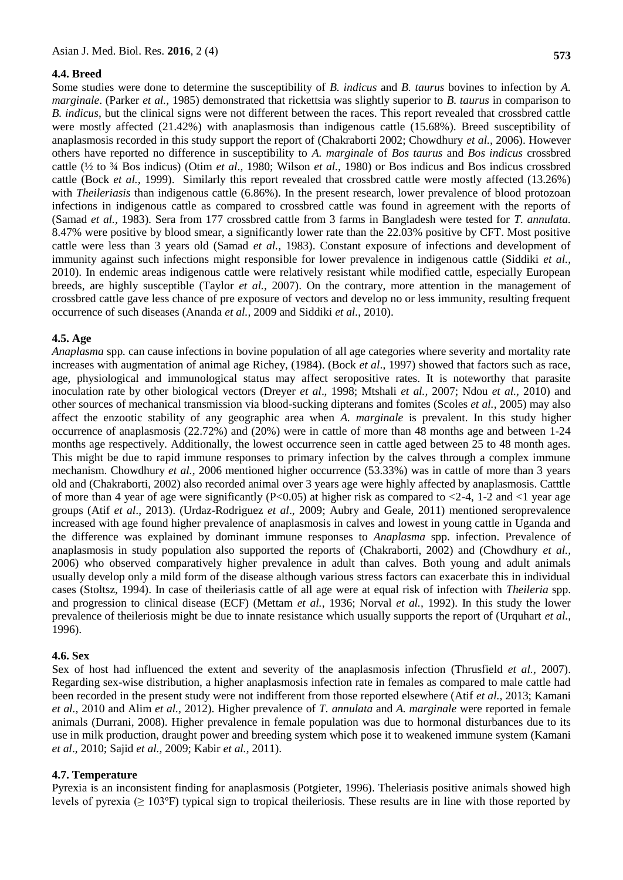#### **4.4. Breed**

Some studies were done to determine the susceptibility of *B. indicus* and *B. taurus* bovines to infection by *A. marginale*. (Parker *et al.,* 1985) demonstrated that rickettsia was slightly superior to *B. taurus* in comparison to *B. indicus*, but the clinical signs were not different between the races. This report revealed that crossbred cattle were mostly affected (21.42%) with anaplasmosis than indigenous cattle (15.68%). Breed susceptibility of anaplasmosis recorded in this study support the report of (Chakraborti 2002; Chowdhury *et al.,* 2006). However others have reported no difference in susceptibility to *A. marginale* of *Bos taurus* and *Bos indicus* crossbred cattle (½ to ¾ Bos indicus) (Otim *et al*., 1980; Wilson *et al.,* 1980) or Bos indicus and Bos indicus crossbred cattle (Bock *et al.,* 1999). Similarly this report revealed that crossbred cattle were mostly affected (13.26%) with *Theileriasis* than indigenous cattle (6.86%). In the present research, lower prevalence of blood protozoan infections in indigenous cattle as compared to crossbred cattle was found in agreement with the reports of (Samad *et al.,* 1983). Sera from 177 crossbred cattle from 3 farms in Bangladesh were tested for *T. annulata.*  8.47% were positive by blood smear, a significantly lower rate than the 22.03% positive by CFT. Most positive cattle were less than 3 years old (Samad *et al.,* 1983). Constant exposure of infections and development of immunity against such infections might responsible for lower prevalence in indigenous cattle (Siddiki *et al.*, 2010). In endemic areas indigenous cattle were relatively resistant while modified cattle, especially European breeds, are highly susceptible (Taylor *et al.,* 2007). On the contrary, more attention in the management of crossbred cattle gave less chance of pre exposure of vectors and develop no or less immunity, resulting frequent occurrence of such diseases (Ananda *et al.,* 2009 and Siddiki *et al.*, 2010).

#### **4.5. Age**

*Anaplasma* spp*.* can cause infections in bovine population of all age categories where severity and mortality rate increases with augmentation of animal age Richey, (1984). (Bock *et al*., 1997) showed that factors such as race, age, physiological and immunological status may affect seropositive rates. It is noteworthy that parasite inoculation rate by other biological vectors (Dreyer *et al*., 1998; Mtshali *et al.,* 2007; Ndou *et al.,* 2010) and other sources of mechanical transmission via blood-sucking dipterans and fomites (Scoles *et al.,* 2005) may also affect the enzootic stability of any geographic area when *A. marginale* is prevalent. In this study higher occurrence of anaplasmosis (22.72%) and (20%) were in cattle of more than 48 months age and between 1-24 months age respectively. Additionally, the lowest occurrence seen in cattle aged between 25 to 48 month ages. This might be due to rapid immune responses to primary infection by the calves through a complex immune mechanism. Chowdhury *et al.,* 2006 mentioned higher occurrence (53.33%) was in cattle of more than 3 years old and (Chakraborti, 2002) also recorded animal over 3 years age were highly affected by anaplasmosis. Catttle of more than 4 year of age were significantly (P<0.05) at higher risk as compared to  $\langle$ -4, 1-2 and  $\langle$ 1 year age groups (Atif *et al*., 2013). (Urdaz-Rodriguez *et al*., 2009; Aubry and Geale, 2011) mentioned seroprevalence increased with age found higher prevalence of anaplasmosis in calves and lowest in young cattle in Uganda and the difference was explained by dominant immune responses to *Anaplasma* spp. infection. Prevalence of anaplasmosis in study population also supported the reports of (Chakraborti, 2002) and (Chowdhury *et al.,* 2006) who observed comparatively higher prevalence in adult than calves. Both young and adult animals usually develop only a mild form of the disease although various stress factors can exacerbate this in individual cases (Stoltsz, 1994). In case of theileriasis cattle of all age were at equal risk of infection with *Theileria* spp. and progression to clinical disease (ECF) (Mettam *et al.,* 1936; Norval *et al.,* 1992). In this study the lower prevalence of theileriosis might be due to innate resistance which usually supports the report of (Urquhart *et al.,* 1996).

#### **4.6. Sex**

Sex of host had influenced the extent and severity of the anaplasmosis infection (Thrusfield *et al.,* 2007). Regarding sex-wise distribution, a higher anaplasmosis infection rate in females as compared to male cattle had been recorded in the present study were not indifferent from those reported elsewhere (Atif *et al.,* 2013; Kamani *et al.,* 2010 and Alim *et al.,* 2012). Higher prevalence of *T. annulata* and *A. marginale* were reported in female animals (Durrani, 2008). Higher prevalence in female population was due to hormonal disturbances due to its use in milk production, draught power and breeding system which pose it to weakened immune system (Kamani *et al*., 2010; Sajid *et al.,* 2009; Kabir *et al.*, 2011).

#### **4.7. Temperature**

Pyrexia is an inconsistent finding for anaplasmosis (Potgieter, 1996). Theleriasis positive animals showed high levels of pyrexia ( $\geq 103^{\circ}$ F) typical sign to tropical theileriosis. These results are in line with those reported by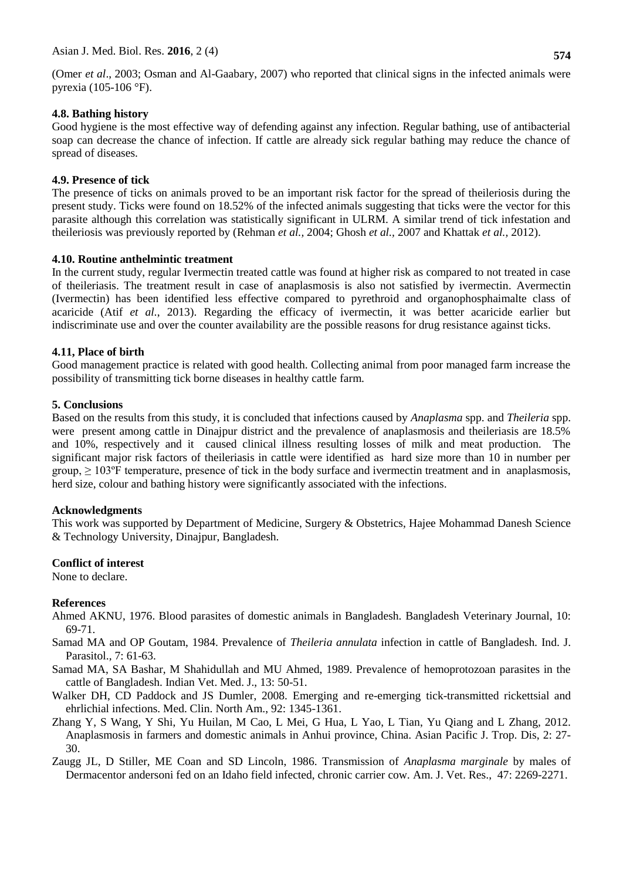(Omer *et al*., 2003; Osman and Al-Gaabary, 2007) who reported that clinical signs in the infected animals were pyrexia (105-106 °F).

# **4.8. Bathing history**

Good hygiene is the most effective way of defending against any infection. Regular bathing, use of antibacterial soap can decrease the chance of infection. If cattle are already sick regular bathing may reduce the chance of spread of diseases.

# **4.9. Presence of tick**

The presence of ticks on animals proved to be an important risk factor for the spread of theileriosis during the present study. Ticks were found on 18.52% of the infected animals suggesting that ticks were the vector for this parasite although this correlation was statistically significant in ULRM. A similar trend of tick infestation and theileriosis was previously reported by [\(Rehman](../../../Sandip/Downloads/A%20comparison%20of%20two%20different%20techniques%20for%20the%20detection%20of%20blood%20parasite,%20Theileria%20annulata,%20in%20cattle%20from%20two%20districts%20in%20Khyber%20Pukhtoon%20Khwa%20Province%20(Pakistan).htm#R16) *et al.,* 2004; [Ghosh](../../../Sandip/Downloads/A%20comparison%20of%20two%20different%20techniques%20for%20the%20detection%20of%20blood%20parasite,%20Theileria%20annulata,%20in%20cattle%20from%20two%20districts%20in%20Khyber%20Pukhtoon%20Khwa%20Province%20(Pakistan).htm#R6) *et al.,* 2007 and Khattak *et al.,* 2012).

# **4.10. Routine anthelmintic treatment**

In the current study, regular Ivermectin treated cattle was found at higher risk as compared to not treated in case of theileriasis. The treatment result in case of anaplasmosis is also not satisfied by ivermectin. Avermectin (Ivermectin) has been identified less effective compared to pyrethroid and organophosphaimalte class of acaricide (Atif *et al.*, 2013). Regarding the efficacy of ivermectin, it was better acaricide earlier but indiscriminate use and over the counter availability are the possible reasons for drug resistance against ticks.

# **4.11, Place of birth**

Good management practice is related with good health. Collecting animal from poor managed farm increase the possibility of transmitting tick borne diseases in healthy cattle farm.

# **5. Conclusions**

Based on the results from this study, it is concluded that infections caused by *Anaplasma* spp. and *Theileria* spp. were present among cattle in Dinajpur district and the prevalence of anaplasmosis and theileriasis are 18.5% and 10%, respectively and it caused clinical illness resulting losses of milk and meat production. The significant major risk factors of theileriasis in cattle were identified as hard size more than 10 in number per group,  $\geq 103^{\circ}$ F temperature, presence of tick in the body surface and ivermectin treatment and in anaplasmosis, herd size, colour and bathing history were significantly associated with the infections.

### **Acknowledgments**

This work was supported by Department of Medicine, Surgery & Obstetrics, Hajee Mohammad Danesh Science & Technology University, Dinajpur, Bangladesh.

### **Conflict of interest**

None to declare.

# **References**

- Ahmed AKNU, 1976. Blood parasites of domestic animals in Bangladesh. Bangladesh Veterinary Journal, 10: 69-71.
- Samad MA and OP Goutam, 1984. Prevalence of *Theileria annulata* infection in cattle of Bangladesh*.* Ind. J. Parasitol.*,* 7: 61-63.
- Samad MA, SA Bashar, M Shahidullah and MU Ahmed, 1989. Prevalence of hemoprotozoan parasites in the cattle of Bangladesh. Indian Vet. Med. J., 13: 50-51.
- Walker DH, CD Paddock and JS Dumler, 2008. Emerging and re-emerging tick-transmitted rickettsial and ehrlichial infections. Med. Clin. North Am., 92: 1345-1361.
- Zhang Y, S Wang, Y Shi, Yu Huilan, M Cao, L Mei, G Hua, L Yao, L Tian, Yu Qiang and L Zhang, 2012. Anaplasmosis in farmers and domestic animals in Anhui province, China. Asian Pacific J. Trop. Dis, 2: 27- 30.
- Zaugg JL, D Stiller, ME Coan and SD Lincoln, 1986. Transmission of *Anaplasma marginale* by males of Dermacentor andersoni fed on an Idaho field infected, chronic carrier cow*.* Am. J. Vet. Res., 47: 2269-2271.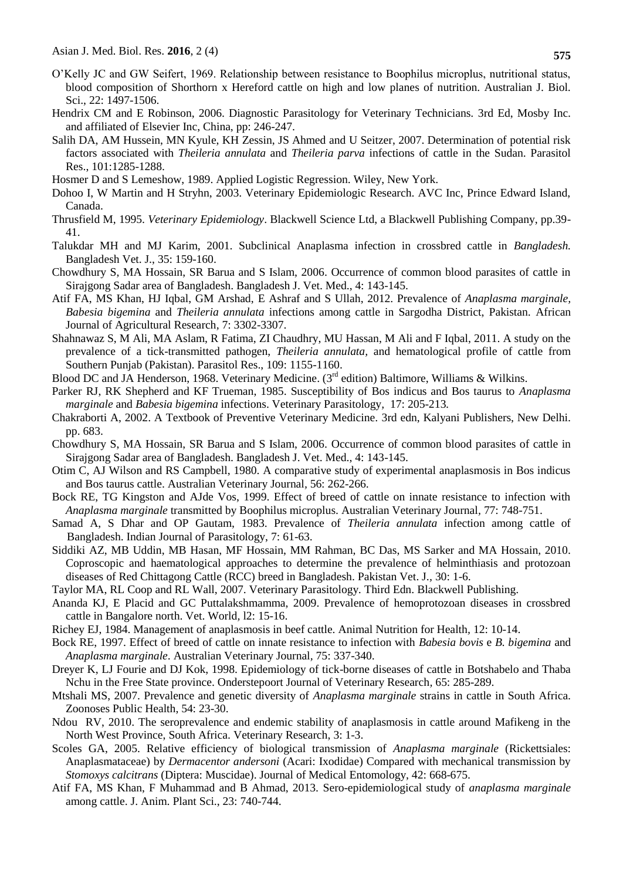- O'Kelly JC and GW Seifert, 1969. Relationship between resistance to Boophilus microplus, nutritional status, blood composition of Shorthorn x Hereford cattle on high and low planes of nutrition. Australian J. Biol. Sci., 22: 1497-1506.
- Hendrix CM and E Robinson, 2006. Diagnostic Parasitology for Veterinary Technicians. 3rd Ed, Mosby Inc. and affiliated of Elsevier Inc, China, pp: 246-247.
- Salih DA, AM Hussein, MN Kyule, KH Zessin, JS Ahmed and U Seitzer, 2007. Determination of potential risk factors associated with *Theileria annulata* and *Theileria parva* infections of cattle in the Sudan. Parasitol Res., 101:1285-1288.
- Hosmer D and S Lemeshow, 1989. Applied Logistic Regression. Wiley, New York.
- Dohoo I, W Martin and H Stryhn, 2003. Veterinary Epidemiologic Research. AVC Inc, Prince Edward Island, Canada.
- Thrusfield M, 1995. *Veterinary Epidemiology*. Blackwell Science Ltd, a Blackwell Publishing Company, pp.39- 41.
- Talukdar MH and MJ Karim, 2001. Subclinical Anaplasma infection in crossbred cattle in *Bangladesh.*  Bangladesh Vet. J., 35: 159-160.
- Chowdhury S, MA Hossain, SR Barua and S Islam, 2006. Occurrence of common blood parasites of cattle in Sirajgong Sadar area of Bangladesh. Bangladesh J. Vet. Med., 4: 143-145.
- Atif FA, MS Khan, HJ Iqbal, GM Arshad, E Ashraf and S Ullah, 2012. Prevalence of *Anaplasma marginale, Babesia bigemina* and *Theileria annulata* infections among cattle in Sargodha District, Pakistan. African Journal of Agricultural Research*,* 7: 3302-3307.
- Shahnawaz S, M Ali, MA Aslam, R Fatima, ZI Chaudhry, MU Hassan, M Ali and F Iqbal, 2011. A study on the prevalence of a tick-transmitted pathogen, *Theileria annulata,* and hematological profile of cattle from Southern Punjab (Pakistan). Parasitol Res., 109: 1155-1160.
- Blood DC and JA Henderson, 1968. Veterinary Medicine. (3<sup>rd</sup> edition) Baltimore, Williams & Wilkins.
- Parker RJ, RK Shepherd and KF Trueman, 1985. Susceptibility of Bos indicus and Bos taurus to *Anaplasma marginale* and *Babesia bigemina* infections. Veterinary Parasitology*,* 17: 205-213*.*
- Chakraborti A, 2002. A Textbook of Preventive Veterinary Medicine*.* 3rd edn, Kalyani Publishers, New Delhi. pp. 683.
- Chowdhury S, MA Hossain, SR Barua and S Islam, 2006. Occurrence of common blood parasites of cattle in Sirajgong Sadar area of Bangladesh. Bangladesh J. Vet. Med., 4: 143-145.
- Otim C, AJ Wilson and RS Campbell, 1980. A comparative study of experimental anaplasmosis in Bos indicus and Bos taurus cattle. Australian Veterinary Journal*,* 56: 262-266.
- Bock RE, TG Kingston and AJde Vos, 1999. Effect of breed of cattle on innate resistance to infection with *Anaplasma marginale* transmitted by Boophilus microplus. Australian Veterinary Journal*,* 77: 748-751.
- [Samad A, S Dhar and OP Gautam, 1983. Prevalence of](http://www.cabi.org/isc/abstract/19870841704) *Theileria annulata* infection among cattle of [Bangladesh. Indian Journal of Parasitology,](http://www.cabi.org/isc/abstract/19870841704) 7: 61-63.
- Siddiki AZ, MB Uddin, MB Hasan, MF Hossain, MM Rahman, BC Das, MS Sarker and MA Hossain, 2010. Coproscopic and haematological approaches to determine the prevalence of helminthiasis and protozoan diseases of Red Chittagong Cattle (RCC) breed in Bangladesh. Pakistan Vet. J.*,* 30: 1-6.
- Taylor MA, RL Coop and RL Wall, 2007. Veterinary Parasitology*.* Third Edn. Blackwell Publishing.
- Ananda KJ, E Placid and GC Puttalakshmamma, 2009. Prevalence of hemoprotozoan diseases in crossbred cattle in Bangalore north. Vet. World*,* l2: 15-16.
- Richey EJ, 1984. Management of anaplasmosis in beef cattle. Animal Nutrition for Health*,* 12: 10-14.
- Bock RE, 1997. Effect of breed of cattle on innate resistance to infection with *Babesia bovis* e *B. bigemina* and *Anaplasma marginale*. Australian Veterinary Journal*,* 75: 337-340.
- Dreyer K, LJ Fourie and DJ Kok, 1998. Epidemiology of tick-borne diseases of cattle in Botshabelo and Thaba Nchu in the Free State province. Onderstepoort Journal of Veterinary Research*,* 65: 285-289.
- Mtshali MS, 2007. Prevalence and genetic diversity of *Anaplasma marginale* strains in cattle in South Africa. Zoonoses Public Health, 54: 23-30.
- Ndou RV, 2010. The seroprevalence and endemic stability of anaplasmosis in cattle around Mafikeng in the North West Province, South Africa. Veterinary Research, 3: 1-3.
- Scoles GA, 2005. Relative efficiency of biological transmission of *Anaplasma marginale* (Rickettsiales: Anaplasmataceae) by *Dermacentor andersoni* (Acari: Ixodidae) Compared with mechanical transmission by *Stomoxys calcitrans* (Diptera: Muscidae). Journal of Medical Entomology, 42: 668-675.
- Atif FA, MS Khan, F Muhammad and B Ahmad, 2013. Sero-epidemiological study of *anaplasma marginale* among cattle. J. Anim. Plant Sci., 23: 740-744.